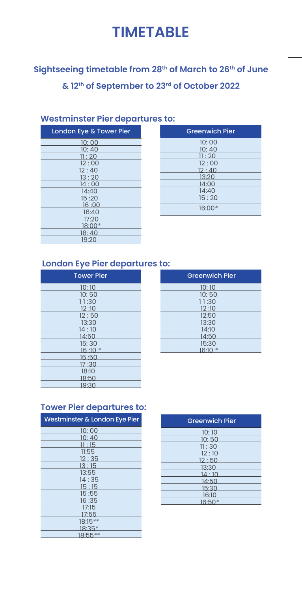# **TIMETABLE**

## **Sightseeing timetable from 28 th of March to 26th of June & 12th of September to 23rd of October 2022**

#### **Westminster Pier departures to:**

| London Eye & Tower Pier |
|-------------------------|
| 10:00                   |
| 10:40                   |
| 11:20                   |
| 12:00                   |
| 12:40                   |
| 13:20                   |
| 14:00                   |
| 14:40                   |
| 15:20                   |
| 16:00                   |
| 16:40                   |
| 17:20                   |
| 18:00*                  |
| 18:40                   |
| 19:20                   |

| <b>Greenwich Pier</b> |
|-----------------------|
| 10:00                 |
| 10:40                 |
| 11:20                 |
| 12:00                 |
| 12:40                 |
| 13:20                 |
| 14:00                 |
| 14:40                 |
| 15:20                 |
| 16:00                 |

#### **London Eye Pier departures to:**

| <b>Tower Pier</b> |
|-------------------|
| 10:10             |
| 10:50             |
| 11:30             |
| 12:10             |
| 12:50             |
| 13:30             |
| 14 · 10           |
| 14:50             |
| 15:30             |
| $16:10*$          |
| 16:50             |
| 17:30             |
| 18:10             |
| 18:50             |
| 19:30             |

| <b>Greenwich Pier</b> |
|-----------------------|
| 10:10                 |
| 10:50                 |
| 11:30                 |
| 12:10                 |
| 12:50                 |
| 13:30                 |
| 14:10                 |
| 14:50                 |
| 15:30                 |
| $16.10*$              |

## **Tower Pier departures to:**

| Westminster & London Eye Pier |
|-------------------------------|
| 10:00                         |
| 10:40                         |
| 11:15                         |
| 11:55                         |
| 12:35                         |
| 13:15                         |
| 13:55                         |
| 14:35                         |
| 15:15                         |
| 15:55                         |
| 16:35                         |
| 17:15                         |
| 17:55                         |
| $18:15**$                     |
| $18:35*$                      |
| 18:55**                       |

| <b>Greenwich Pier</b> |
|-----------------------|
| 10:10                 |
| 10:50                 |
| 11:30                 |
| 12:10                 |
| 12:50                 |
| 13:30                 |
| 14:10                 |
| 14:50                 |
| 15:30                 |
| 16:10                 |
| $16:50*$              |